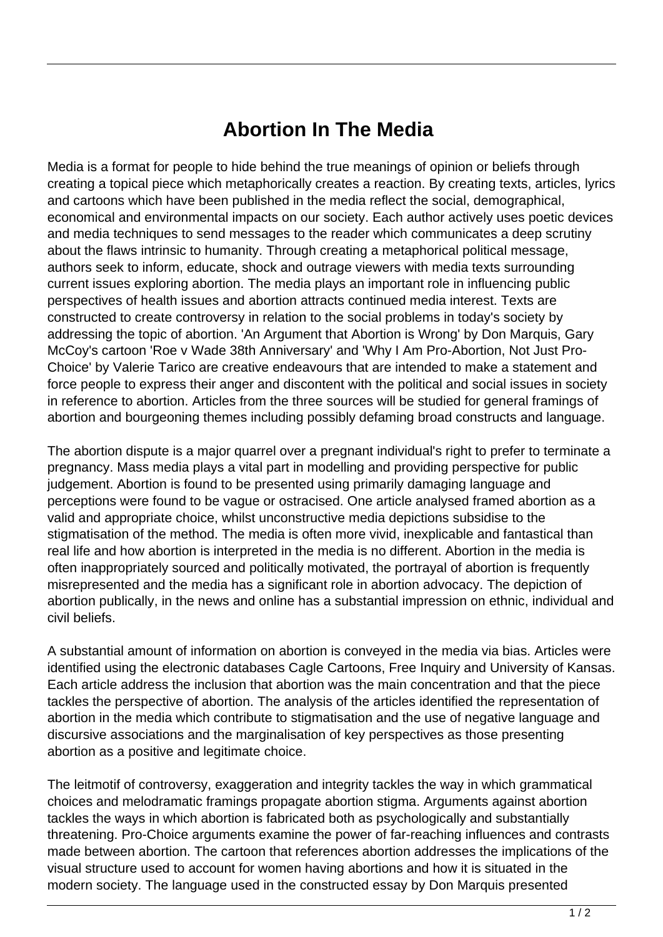## **Abortion In The Media**

Media is a format for people to hide behind the true meanings of opinion or beliefs through creating a topical piece which metaphorically creates a reaction. By creating texts, articles, lyrics and cartoons which have been published in the media reflect the social, demographical, economical and environmental impacts on our society. Each author actively uses poetic devices and media techniques to send messages to the reader which communicates a deep scrutiny about the flaws intrinsic to humanity. Through creating a metaphorical political message, authors seek to inform, educate, shock and outrage viewers with media texts surrounding current issues exploring abortion. The media plays an important role in influencing public perspectives of health issues and abortion attracts continued media interest. Texts are constructed to create controversy in relation to the social problems in today's society by addressing the topic of abortion. 'An Argument that Abortion is Wrong' by Don Marquis, Gary McCoy's cartoon 'Roe v Wade 38th Anniversary' and 'Why I Am Pro-Abortion, Not Just Pro-Choice' by Valerie Tarico are creative endeavours that are intended to make a statement and force people to express their anger and discontent with the political and social issues in society in reference to abortion. Articles from the three sources will be studied for general framings of abortion and bourgeoning themes including possibly defaming broad constructs and language.

The abortion dispute is a major quarrel over a pregnant individual's right to prefer to terminate a pregnancy. Mass media plays a vital part in modelling and providing perspective for public judgement. Abortion is found to be presented using primarily damaging language and perceptions were found to be vague or ostracised. One article analysed framed abortion as a valid and appropriate choice, whilst unconstructive media depictions subsidise to the stigmatisation of the method. The media is often more vivid, inexplicable and fantastical than real life and how abortion is interpreted in the media is no different. Abortion in the media is often inappropriately sourced and politically motivated, the portrayal of abortion is frequently misrepresented and the media has a significant role in abortion advocacy. The depiction of abortion publically, in the news and online has a substantial impression on ethnic, individual and civil beliefs.

A substantial amount of information on abortion is conveyed in the media via bias. Articles were identified using the electronic databases Cagle Cartoons, Free Inquiry and University of Kansas. Each article address the inclusion that abortion was the main concentration and that the piece tackles the perspective of abortion. The analysis of the articles identified the representation of abortion in the media which contribute to stigmatisation and the use of negative language and discursive associations and the marginalisation of key perspectives as those presenting abortion as a positive and legitimate choice.

The leitmotif of controversy, exaggeration and integrity tackles the way in which grammatical choices and melodramatic framings propagate abortion stigma. Arguments against abortion tackles the ways in which abortion is fabricated both as psychologically and substantially threatening. Pro-Choice arguments examine the power of far-reaching influences and contrasts made between abortion. The cartoon that references abortion addresses the implications of the visual structure used to account for women having abortions and how it is situated in the modern society. The language used in the constructed essay by Don Marquis presented